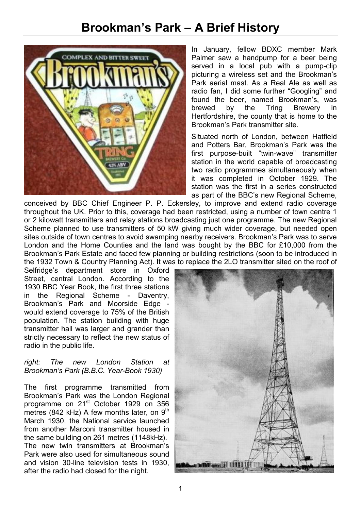## **Brookman's Park – A Brief History**



In January, fellow BDXC member Mark Palmer saw a handpump for a beer being served in a local pub with a pump-clip picturing a wireless set and the Brookman's Park aerial mast. As a Real Ale as well as radio fan, I did some further "Googling" and found the beer, named Brookman's, was brewed by the Tring Brewery in Hertfordshire, the county that is home to the Brookman's Park transmitter site.

Situated north of London, between Hatfield and Potters Bar, Brookman's Park was the first purpose-built "twin-wave" transmitter station in the world capable of broadcasting two radio programmes simultaneously when it was completed in October 1929. The station was the first in a series constructed as part of the BBC's new Regional Scheme,

conceived by BBC Chief Engineer P. P. Eckersley, to improve and extend radio coverage throughout the UK. Prior to this, coverage had been restricted, using a number of town centre 1 or 2 kilowatt transmitters and relay stations broadcasting just one programme. The new Regional Scheme planned to use transmitters of 50 kW giving much wider coverage, but needed open sites outside of town centres to avoid swamping nearby receivers. Brookman's Park was to serve London and the Home Counties and the land was bought by the BBC for £10,000 from the Brookman's Park Estate and faced few planning or building restrictions (soon to be introduced in the 1932 Town & Country Planning Act). It was to replace the 2LO transmitter sited on the roof of

Selfridge's department store in Oxford Street, central London. According to the 1930 BBC Year Book, the first three stations in the Regional Scheme - Daventry, Brookman's Park and Moorside Edge would extend coverage to 75% of the British population. The station building with huge transmitter hall was larger and grander than strictly necessary to reflect the new status of radio in the public life.

## *right: The new London Station at Brookman's Park (B.B.C. Year-Book 1930)*

The first programme transmitted from Brookman's Park was the London Regional programme on 21<sup>st</sup> October 1929 on 356 metres (842 kHz) A few months later, on  $9<sup>th</sup>$ March 1930, the National service launched from another Marconi transmitter housed in the same building on 261 metres (1148kHz). The new twin transmitters at Brookman's Park were also used for simultaneous sound and vision 30-line television tests in 1930, after the radio had closed for the night.